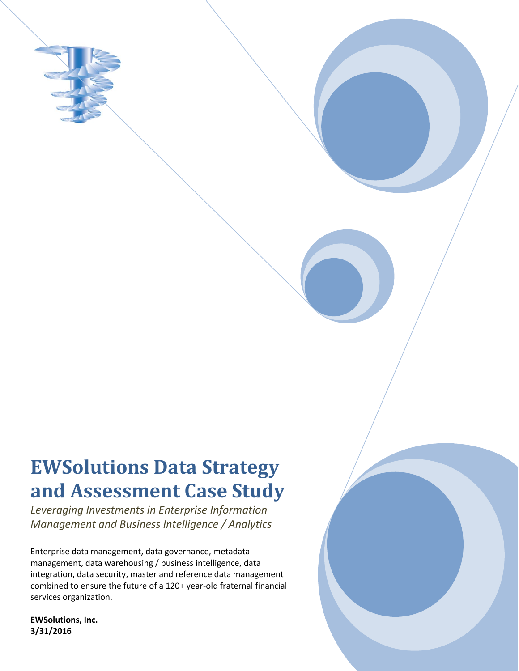

# **EWSolutions Data Strategy and Assessment Case Study**

*Leveraging Investments in Enterprise Information Management and Business Intelligence / Analytics* 

Enterprise data management, data governance, metadata management, data warehousing / business intelligence, data integration, data security, master and reference data management combined to ensure the future of a 120+ year-old fraternal financial services organization.

**EWSolutions, Inc. 3/31/2016**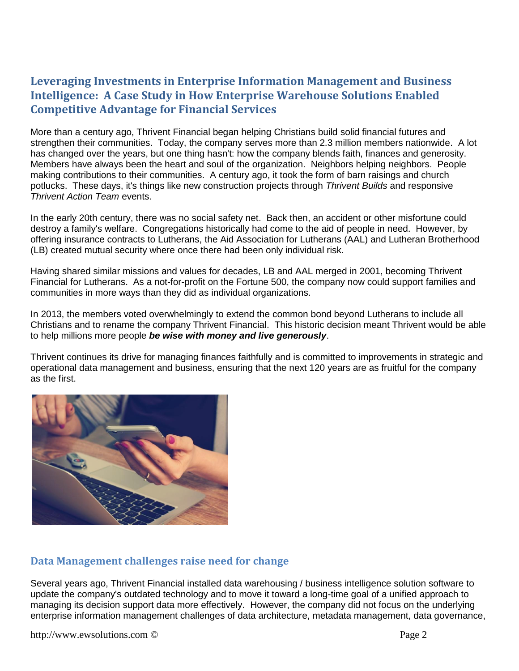## **Leveraging Investments in Enterprise Information Management and Business Intelligence: A Case Study in How Enterprise Warehouse Solutions Enabled Competitive Advantage for Financial Services**

More than a century ago, Thrivent Financial began helping Christians build solid financial futures and strengthen their communities. Today, the company serves more than 2.3 million members nationwide. A lot has changed over the years, but one thing hasn't: how the company blends faith, finances and generosity. Members have always been the heart and soul of the organization. Neighbors helping neighbors. People making contributions to their communities. A century ago, it took the form of barn raisings and church potlucks. These days, it's things like new construction projects through *Thrivent Builds* and responsive *Thrivent Action Team* events.

In the early 20th century, there was no social safety net. Back then, an accident or other misfortune could destroy a family's welfare. Congregations historically had come to the aid of people in need. However, by offering insurance contracts to Lutherans, the Aid Association for Lutherans (AAL) and Lutheran Brotherhood (LB) created mutual security where once there had been only individual risk.

Having shared similar missions and values for decades, LB and AAL merged in 2001, becoming Thrivent Financial for Lutherans. As a not-for-profit on the Fortune 500, the company now could support families and communities in more ways than they did as individual organizations.

In 2013, the members voted overwhelmingly to extend the common bond beyond Lutherans to include all Christians and to rename the company Thrivent Financial. This historic decision meant Thrivent would be able to help millions more people *be wise with money and live generously*.

Thrivent continues its drive for managing finances faithfully and is committed to improvements in strategic and operational data management and business, ensuring that the next 120 years are as fruitful for the company as the first.



## **Data Management challenges raise need for change**

Several years ago, Thrivent Financial installed data warehousing / business intelligence solution software to update the company's outdated technology and to move it toward a long-time goal of a unified approach to managing its decision support data more effectively. However, the company did not focus on the underlying enterprise information management challenges of data architecture, metadata management, data governance,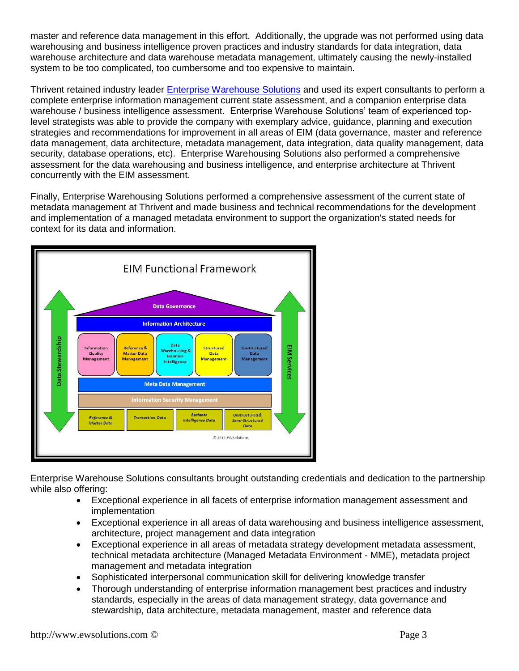master and reference data management in this effort. Additionally, the upgrade was not performed using data warehousing and business intelligence proven practices and industry standards for data integration, data warehouse architecture and data warehouse metadata management, ultimately causing the newly-installed system to be too complicated, too cumbersome and too expensive to maintain.

Thrivent retained industry leader [Enterprise Warehouse Solutions](http://www.ewsolutions.com/) and used its expert consultants to perform a complete enterprise information management current state assessment, and a companion enterprise data warehouse / business intelligence assessment. Enterprise Warehouse Solutions' team of experienced toplevel strategists was able to provide the company with exemplary advice, guidance, planning and execution strategies and recommendations for improvement in all areas of EIM (data governance, master and reference data management, data architecture, metadata management, data integration, data quality management, data security, database operations, etc). Enterprise Warehousing Solutions also performed a comprehensive assessment for the data warehousing and business intelligence, and enterprise architecture at Thrivent concurrently with the EIM assessment.

Finally, Enterprise Warehousing Solutions performed a comprehensive assessment of the current state of metadata management at Thrivent and made business and technical recommendations for the development and implementation of a managed metadata environment to support the organization's stated needs for context for its data and information.



Enterprise Warehouse Solutions consultants brought outstanding credentials and dedication to the partnership while also offering:

- Exceptional experience in all facets of enterprise information management assessment and implementation
- Exceptional experience in all areas of data warehousing and business intelligence assessment, architecture, project management and data integration
- Exceptional experience in all areas of metadata strategy development metadata assessment, technical metadata architecture (Managed Metadata Environment - MME), metadata project management and metadata integration
- Sophisticated interpersonal communication skill for delivering knowledge transfer
- Thorough understanding of enterprise information management best practices and industry standards, especially in the areas of data management strategy, data governance and stewardship, data architecture, metadata management, master and reference data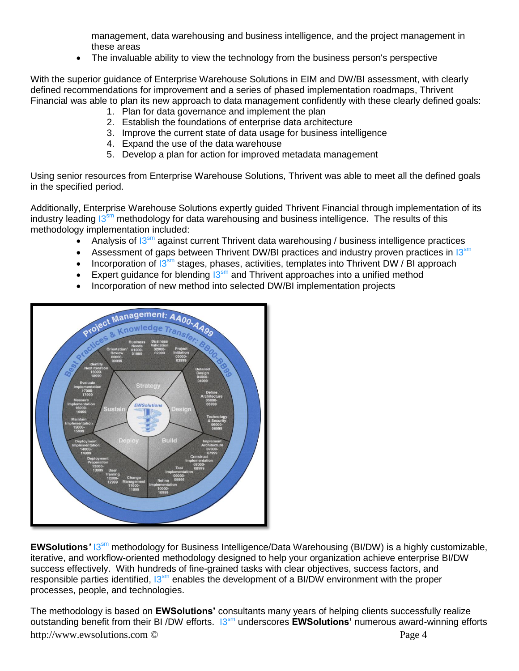management, data warehousing and business intelligence, and the project management in these areas

The invaluable ability to view the technology from the business person's perspective

With the superior guidance of Enterprise Warehouse Solutions in EIM and DW/BI assessment, with clearly defined recommendations for improvement and a series of phased implementation roadmaps, Thrivent Financial was able to plan its new approach to data management confidently with these clearly defined goals:

- 1. Plan for data governance and implement the plan
- 2. Establish the foundations of enterprise data architecture
- 3. Improve the current state of data usage for business intelligence
- 4. Expand the use of the data warehouse
- 5. Develop a plan for action for improved metadata management

Using senior resources from Enterprise Warehouse Solutions, Thrivent was able to meet all the defined goals in the specified period.

Additionally, Enterprise Warehouse Solutions expertly guided Thrivent Financial through implementation of its industry leading  $13<sup>sm</sup>$  methodology for data warehousing and business intelligence. The results of this methodology implementation included:

- Analysis of  $13<sup>sm</sup>$  against current Thrivent data warehousing / business intelligence practices
- Assessment of gaps between Thrivent DW/BI practices and industry proven practices in  $13<sup>sm</sup>$
- **Incorporation of**  $13^{sm}$  **stages, phases, activities, templates into Thrivent DW / BI approach**
- Expert guidance for blending  $13^{sm}$  and Thrivent approaches into a unified method
- Incorporation of new method into selected DW/BI implementation projects



**EWSolutions<sup>'</sup> 13<sup>sm</sup>** methodology for Business Intelligence/Data Warehousing (BI/DW) is a highly customizable, iterative, and workflow-oriented methodology designed to help your organization achieve enterprise BI/DW success effectively. With hundreds of fine-grained tasks with clear objectives, success factors, and responsible parties identified,  $13<sup>sm</sup>$  enables the development of a BI/DW environment with the proper processes, people, and technologies.

http://www.ewsolutions.com © Page 4 The methodology is based on **EWSolutions'** consultants many years of helping clients successfully realize outstanding benefit from their BI /DW efforts. I3sm underscores **EWSolutions'** numerous award-winning efforts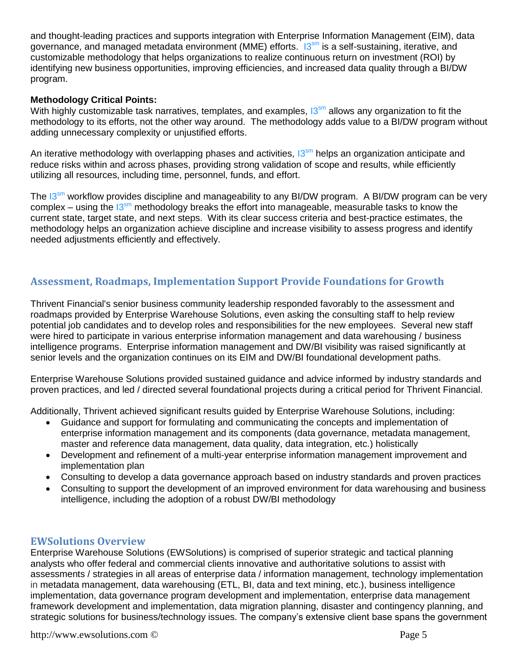and thought-leading practices and supports integration with Enterprise Information Management (EIM), data governance, and managed metadata environment (MME) efforts. 13<sup>sm</sup> is a self-sustaining, iterative, and customizable methodology that helps organizations to realize continuous return on investment (ROI) by identifying new business opportunities, improving efficiencies, and increased data quality through a BI/DW program.

#### **Methodology Critical Points:**

With highly customizable task narratives, templates, and examples,  $13^{sm}$  allows any organization to fit the methodology to its efforts, not the other way around. The methodology adds value to a BI/DW program without adding unnecessary complexity or unjustified efforts.

An iterative methodology with overlapping phases and activities, I3<sup>sm</sup> helps an organization anticipate and reduce risks within and across phases, providing strong validation of scope and results, while efficiently utilizing all resources, including time, personnel, funds, and effort.

The 13<sup>sm</sup> workflow provides discipline and manageability to any BI/DW program. A BI/DW program can be very complex – using the  $13<sup>sm</sup>$  methodology breaks the effort into manageable, measurable tasks to know the current state, target state, and next steps. With its clear success criteria and best-practice estimates, the methodology helps an organization achieve discipline and increase visibility to assess progress and identify needed adjustments efficiently and effectively.

## **Assessment, Roadmaps, Implementation Support Provide Foundations for Growth**

Thrivent Financial's senior business community leadership responded favorably to the assessment and roadmaps provided by Enterprise Warehouse Solutions, even asking the consulting staff to help review potential job candidates and to develop roles and responsibilities for the new employees. Several new staff were hired to participate in various enterprise information management and data warehousing / business intelligence programs. Enterprise information management and DW/BI visibility was raised significantly at senior levels and the organization continues on its EIM and DW/BI foundational development paths.

Enterprise Warehouse Solutions provided sustained guidance and advice informed by industry standards and proven practices, and led / directed several foundational projects during a critical period for Thrivent Financial.

Additionally, Thrivent achieved significant results guided by Enterprise Warehouse Solutions, including:

- Guidance and support for formulating and communicating the concepts and implementation of enterprise information management and its components (data governance, metadata management, master and reference data management, data quality, data integration, etc.) holistically
- Development and refinement of a multi-year enterprise information management improvement and implementation plan
- Consulting to develop a data governance approach based on industry standards and proven practices
- Consulting to support the development of an improved environment for data warehousing and business intelligence, including the adoption of a robust DW/BI methodology

### **EWSolutions Overview**

Enterprise Warehouse Solutions (EWSolutions) is comprised of superior strategic and tactical planning analysts who offer federal and commercial clients innovative and authoritative solutions to assist with assessments / strategies in all areas of enterprise data / information management, technology implementation in metadata management, data warehousing (ETL, BI, data and text mining, etc.), business intelligence implementation, data governance program development and implementation, enterprise data management framework development and implementation, data migration planning, disaster and contingency planning, and strategic solutions for business/technology issues. The company's extensive client base spans the government